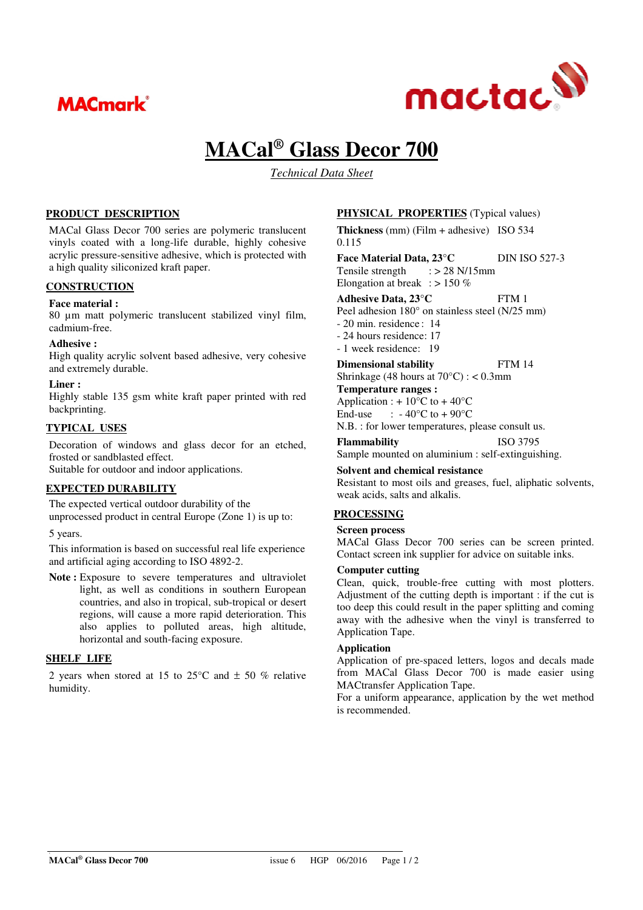



# **MACal® Glass Decor 700**

*Technical Data Sheet* 

### **PRODUCT DESCRIPTION**

MACal Glass Decor 700 series are polymeric translucent vinyls coated with a long-life durable, highly cohesive acrylic pressure-sensitive adhesive, which is protected with a high quality siliconized kraft paper.

## **CONSTRUCTION**

#### **Face material :**

80 µm matt polymeric translucent stabilized vinyl film, cadmium-free.

#### **Adhesive :**

High quality acrylic solvent based adhesive, very cohesive and extremely durable.

#### **Liner :**

Highly stable 135 gsm white kraft paper printed with red backprinting.

#### **TYPICAL USES**

Decoration of windows and glass decor for an etched, frosted or sandblasted effect.

Suitable for outdoor and indoor applications.

## **EXPECTED DURABILITY**

The expected vertical outdoor durability of the unprocessed product in central Europe (Zone 1) is up to:

5 years.

This information is based on successful real life experience and artificial aging according to ISO 4892-2.

Note : Exposure to severe temperatures and ultraviolet light, as well as conditions in southern European countries, and also in tropical, sub-tropical or desert regions, will cause a more rapid deterioration. This also applies to polluted areas, high altitude, horizontal and south-facing exposure.

#### **SHELF LIFE**

2 years when stored at 15 to  $25^{\circ}$ C and  $\pm$  50 % relative humidity.

### **PHYSICAL PROPERTIES** (Typical values)

**Thickness** (mm) (Film + adhesive) ISO 534 0.115

**Face Material Data, 23°C** DIN ISO 527-3<br>Tensile strength : > 28 N/15mm Tensile strength Elongation at break :  $> 150\%$ 

**Adhesive Data, 23°C** FTM 1

Peel adhesion 180° on stainless steel (N/25 mm)

- 20 min. residence : 14

- 24 hours residence: 17

- 1 week residence: 19

**Dimensional stability** FTM 14

Shrinkage (48 hours at 70°C) : < 0.3mm

## **Temperature ranges :**

Application :  $+10^{\circ}$ C to  $+40^{\circ}$ C<br>End-use :  $-40^{\circ}$ C to  $+90^{\circ}$ C

:  $-40^{\circ}$ C to  $+90^{\circ}$ C

N.B. : for lower temperatures, please consult us.

**Flammability** ISO 3795

Sample mounted on aluminium : self-extinguishing.

## **Solvent and chemical resistance**

Resistant to most oils and greases, fuel, aliphatic solvents, weak acids, salts and alkalis.

## **PROCESSING**

#### **Screen process**

MACal Glass Decor 700 series can be screen printed. Contact screen ink supplier for advice on suitable inks.

#### **Computer cutting**

Clean, quick, trouble-free cutting with most plotters. Adjustment of the cutting depth is important : if the cut is too deep this could result in the paper splitting and coming away with the adhesive when the vinyl is transferred to Application Tape.

#### **Application**

Application of pre-spaced letters, logos and decals made from MACal Glass Decor 700 is made easier using MACtransfer Application Tape.

For a uniform appearance, application by the wet method is recommended.